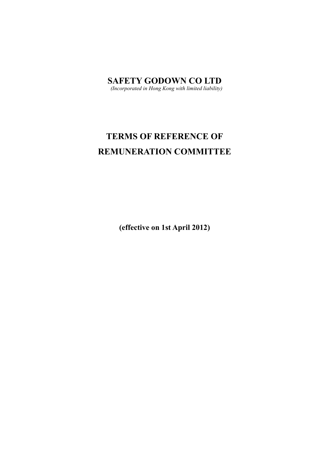**SAFETY GODOWN CO LTD** *(Incorporated in Hong Kong with limited liability)* 

# **TERMS OF REFERENCE OF REMUNERATION COMMITTEE**

**(effective on 1st April 2012)**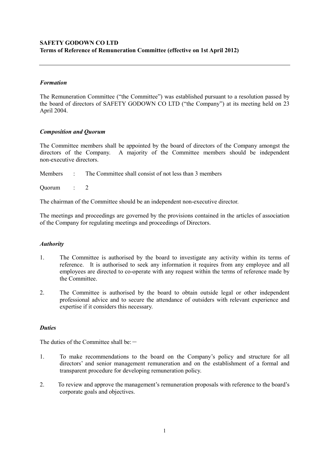## **SAFETY GODOWN CO LTD Terms of Reference of Remuneration Committee (effective on 1st April 2012)**

## *Formation*

The Remuneration Committee ("the Committee") was established pursuant to a resolution passed by the board of directors of SAFETY GODOWN CO LTD ("the Company") at its meeting held on 23 April 2004.

## *Composition and Quorum*

The Committee members shall be appointed by the board of directors of the Company amongst the directors of the Company. A majority of the Committee members should be independent non-executive directors.

Members : The Committee shall consist of not less than 3 members

Quorum : 2

The chairman of the Committee should be an independent non-executive director.

The meetings and proceedings are governed by the provisions contained in the articles of association of the Company for regulating meetings and proceedings of Directors.

#### *Authority*

- 1. The Committee is authorised by the board to investigate any activity within its terms of reference. It is authorised to seek any information it requires from any employee and all employees are directed to co-operate with any request within the terms of reference made by the Committee.
- 2. The Committee is authorised by the board to obtain outside legal or other independent professional advice and to secure the attendance of outsiders with relevant experience and expertise if it considers this necessary.

#### *Duties*

The duties of the Committee shall be: $-$ 

- 1. To make recommendations to the board on the Company's policy and structure for all directors' and senior management remuneration and on the establishment of a formal and transparent procedure for developing remuneration policy.
- 2. To review and approve the management's remuneration proposals with reference to the board's corporate goals and objectives.